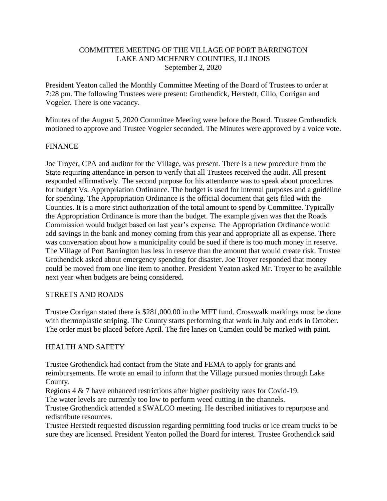## COMMITTEE MEETING OF THE VILLAGE OF PORT BARRINGTON LAKE AND MCHENRY COUNTIES, ILLINOIS September 2, 2020

President Yeaton called the Monthly Committee Meeting of the Board of Trustees to order at 7:28 pm. The following Trustees were present: Grothendick, Herstedt, Cillo, Corrigan and Vogeler. There is one vacancy.

Minutes of the August 5, 2020 Committee Meeting were before the Board. Trustee Grothendick motioned to approve and Trustee Vogeler seconded. The Minutes were approved by a voice vote.

### FINANCE

Joe Troyer, CPA and auditor for the Village, was present. There is a new procedure from the State requiring attendance in person to verify that all Trustees received the audit. All present responded affirmatively. The second purpose for his attendance was to speak about procedures for budget Vs. Appropriation Ordinance. The budget is used for internal purposes and a guideline for spending. The Appropriation Ordinance is the official document that gets filed with the Counties. It is a more strict authorization of the total amount to spend by Committee. Typically the Appropriation Ordinance is more than the budget. The example given was that the Roads Commission would budget based on last year's expense. The Appropriation Ordinance would add savings in the bank and money coming from this year and appropriate all as expense. There was conversation about how a municipality could be sued if there is too much money in reserve. The Village of Port Barrington has less in reserve than the amount that would create risk. Trustee Grothendick asked about emergency spending for disaster. Joe Troyer responded that money could be moved from one line item to another. President Yeaton asked Mr. Troyer to be available next year when budgets are being considered.

#### STREETS AND ROADS

Trustee Corrigan stated there is \$281,000.00 in the MFT fund. Crosswalk markings must be done with thermoplastic striping. The County starts performing that work in July and ends in October. The order must be placed before April. The fire lanes on Camden could be marked with paint.

#### HEALTH AND SAFETY

Trustee Grothendick had contact from the State and FEMA to apply for grants and reimbursements. He wrote an email to inform that the Village pursued monies through Lake County.

Regions 4 & 7 have enhanced restrictions after higher positivity rates for Covid-19.

The water levels are currently too low to perform weed cutting in the channels.

Trustee Grothendick attended a SWALCO meeting. He described initiatives to repurpose and redistribute resources.

Trustee Herstedt requested discussion regarding permitting food trucks or ice cream trucks to be sure they are licensed. President Yeaton polled the Board for interest. Trustee Grothendick said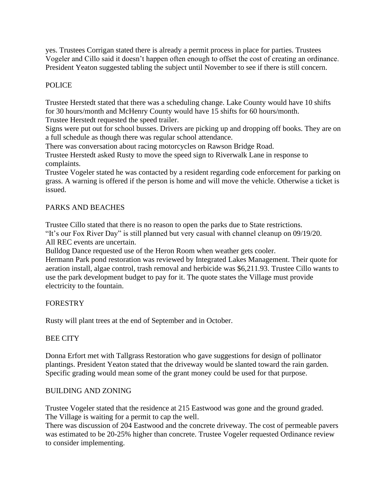yes. Trustees Corrigan stated there is already a permit process in place for parties. Trustees Vogeler and Cillo said it doesn't happen often enough to offset the cost of creating an ordinance. President Yeaton suggested tabling the subject until November to see if there is still concern.

# POLICE

Trustee Herstedt stated that there was a scheduling change. Lake County would have 10 shifts for 30 hours/month and McHenry County would have 15 shifts for 60 hours/month. Trustee Herstedt requested the speed trailer.

Signs were put out for school busses. Drivers are picking up and dropping off books. They are on a full schedule as though there was regular school attendance.

There was conversation about racing motorcycles on Rawson Bridge Road.

Trustee Herstedt asked Rusty to move the speed sign to Riverwalk Lane in response to complaints.

Trustee Vogeler stated he was contacted by a resident regarding code enforcement for parking on grass. A warning is offered if the person is home and will move the vehicle. Otherwise a ticket is issued.

## PARKS AND BEACHES

Trustee Cillo stated that there is no reason to open the parks due to State restrictions.

"It's our Fox River Day" is still planned but very casual with channel cleanup on 09/19/20. All REC events are uncertain.

Bulldog Dance requested use of the Heron Room when weather gets cooler.

Hermann Park pond restoration was reviewed by Integrated Lakes Management. Their quote for aeration install, algae control, trash removal and herbicide was \$6,211.93. Trustee Cillo wants to use the park development budget to pay for it. The quote states the Village must provide electricity to the fountain.

## FORESTRY

Rusty will plant trees at the end of September and in October.

## BEE CITY

Donna Erfort met with Tallgrass Restoration who gave suggestions for design of pollinator plantings. President Yeaton stated that the driveway would be slanted toward the rain garden. Specific grading would mean some of the grant money could be used for that purpose.

## BUILDING AND ZONING

Trustee Vogeler stated that the residence at 215 Eastwood was gone and the ground graded. The Village is waiting for a permit to cap the well.

There was discussion of 204 Eastwood and the concrete driveway. The cost of permeable pavers was estimated to be 20-25% higher than concrete. Trustee Vogeler requested Ordinance review to consider implementing.